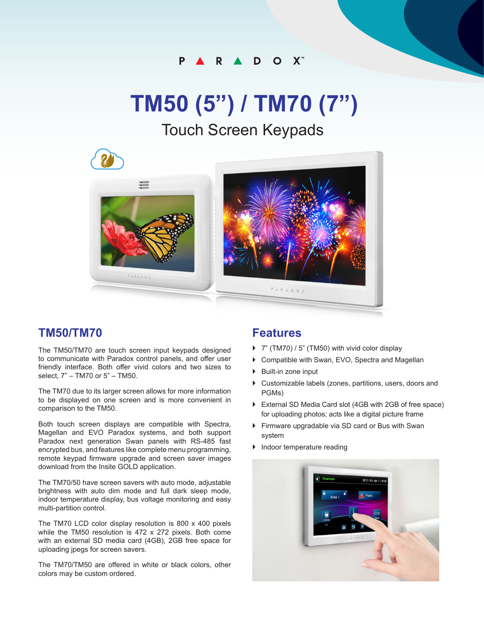#### P. R A D O X

# **TM50 (5") / TM70 (7")**

## Touch Screen Keypads



#### **TM50/TM70**

The TM50/TM70 are touch screen input keypads designed to communicate with Paradox control panels, and offer user friendly interface. Both offer vivid colors and two sizes to select, 7" – TM70 or 5" – TM50.

The TM70 due to its larger screen allows for more information to be displayed on one screen and is more convenient in comparison to the TM50.

Both touch screen displays are compatible with Spectra, Magellan and EVO Paradox systems, and both support Paradox next generation Swan panels with RS-485 fast encrypted bus, and features like complete menu programming, remote keypad firmware upgrade and screen saver images download from the Insite GOLD application.

The TM70/50 have screen savers with auto mode, adjustable brightness with auto dim mode and full dark sleep mode, indoor temperature display, bus voltage monitoring and easy multi-partition control.

The TM70 LCD color display resolution is 800 x 400 pixels while the TM50 resolution is 472 x 272 pixels. Both come with an external SD media card (4GB), 2GB free space for uploading jpegs for screen savers.

The TM70/TM50 are offered in white or black colors, other colors may be custom ordered.

### **Features**

- ▶ 7" (TM70) / 5" (TM50) with vivid color display
- ▶ Compatible with Swan, EVO, Spectra and Magellan
- ▶ Built-in zone input
- } Customizable labels (zones, partitions, users, doors and PGMs)
- } External SD Media Card slot (4GB with 2GB of free space) for uploading photos; acts like a digital picture frame
- } Firmware upgradable via SD card or Bus with Swan system
- } Indoor temperature reading